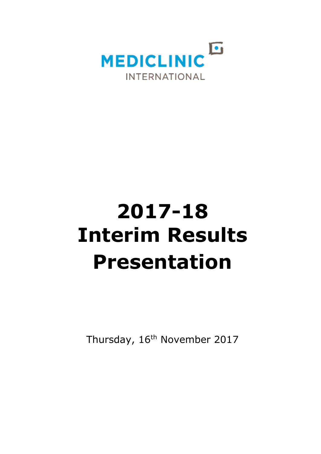

# **2017-18 Interim Results Presentation**

Thursday, 16<sup>th</sup> November 2017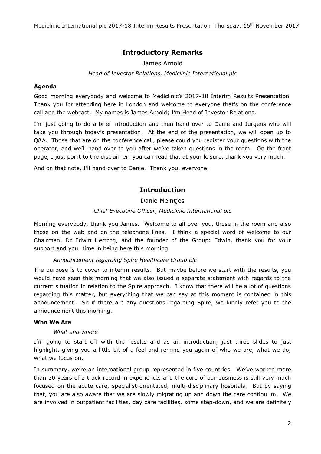# **Introductory Remarks**

# James Arnold

# *Head of Investor Relations, Mediclinic International plc*

# **Agenda**

Good morning everybody and welcome to Mediclinic's 2017-18 Interim Results Presentation. Thank you for attending here in London and welcome to everyone that's on the conference call and the webcast. My names is James Arnold; I'm Head of Investor Relations.

I'm just going to do a brief introduction and then hand over to Danie and Jurgens who will take you through today's presentation. At the end of the presentation, we will open up to Q&A. Those that are on the conference call, please could you register your questions with the operator, and we'll hand over to you after we've taken questions in the room. On the front page, I just point to the disclaimer; you can read that at your leisure, thank you very much.

And on that note, I'll hand over to Danie. Thank you, everyone.

# **Introduction**

Danie Meintjes

# *Chief Executive Officer, Mediclinic International plc*

Morning everybody, thank you James. Welcome to all over you, those in the room and also those on the web and on the telephone lines. I think a special word of welcome to our Chairman, Dr Edwin Hertzog, and the founder of the Group: Edwin, thank you for your support and your time in being here this morning.

# *Announcement regarding Spire Healthcare Group plc*

The purpose is to cover to interim results. But maybe before we start with the results, you would have seen this morning that we also issued a separate statement with regards to the current situation in relation to the Spire approach. I know that there will be a lot of questions regarding this matter, but everything that we can say at this moment is contained in this announcement. So if there are any questions regarding Spire, we kindly refer you to the announcement this morning.

# **Who We Are**

# *What and where*

I'm going to start off with the results and as an introduction, just three slides to just highlight, giving you a little bit of a feel and remind you again of who we are, what we do, what we focus on.

In summary, we're an international group represented in five countries. We've worked more than 30 years of a track record in experience, and the core of our business is still very much focused on the acute care, specialist-orientated, multi-disciplinary hospitals. But by saying that, you are also aware that we are slowly migrating up and down the care continuum. We are involved in outpatient facilities, day care facilities, some step-down, and we are definitely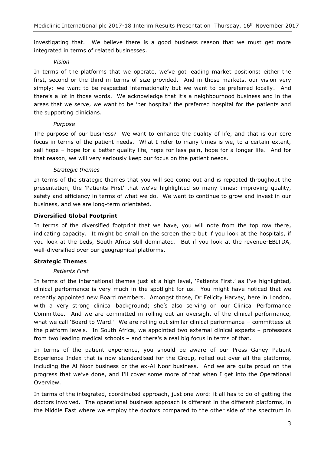investigating that. We believe there is a good business reason that we must get more integrated in terms of related businesses.

# *Vision*

In terms of the platforms that we operate, we've got leading market positions: either the first, second or the third in terms of size provided. And in those markets, our vision very simply: we want to be respected internationally but we want to be preferred locally. And there's a lot in those words. We acknowledge that it's a neighbourhood business and in the areas that we serve, we want to be 'per hospital' the preferred hospital for the patients and the supporting clinicians.

#### *Purpose*

The purpose of our business? We want to enhance the quality of life, and that is our core focus in terms of the patient needs. What I refer to many times is we, to a certain extent, sell hope – hope for a better quality life, hope for less pain, hope for a longer life. And for that reason, we will very seriously keep our focus on the patient needs.

#### *Strategic themes*

In terms of the strategic themes that you will see come out and is repeated throughout the presentation, the 'Patients First' that we've highlighted so many times: improving quality, safety and efficiency in terms of what we do. We want to continue to grow and invest in our business, and we are long-term orientated.

#### **Diversified Global Footprint**

In terms of the diversified footprint that we have, you will note from the top row there, indicating capacity. It might be small on the screen there but if you look at the hospitals, if you look at the beds, South Africa still dominated. But if you look at the revenue-EBITDA, well-diversified over our geographical platforms.

# **Strategic Themes**

# *Patients First*

In terms of the international themes just at a high level, 'Patients First,' as I've highlighted, clinical performance is very much in the spotlight for us. You might have noticed that we recently appointed new Board members. Amongst those, Dr Felicity Harvey, here in London, with a very strong clinical background; she's also serving on our Clinical Performance Committee. And we are committed in rolling out an oversight of the clinical performance, what we call 'Board to Ward.' We are rolling out similar clinical performance – committees at the platform levels. In South Africa, we appointed two external clinical experts – professors from two leading medical schools – and there's a real big focus in terms of that.

In terms of the patient experience, you should be aware of our Press Ganey Patient Experience Index that is now standardised for the Group, rolled out over all the platforms, including the Al Noor business or the ex-Al Noor business. And we are quite proud on the progress that we've done, and I'll cover some more of that when I get into the Operational Overview.

In terms of the integrated, coordinated approach, just one word: it all has to do of getting the doctors involved. The operational business approach is different in the different platforms, in the Middle East where we employ the doctors compared to the other side of the spectrum in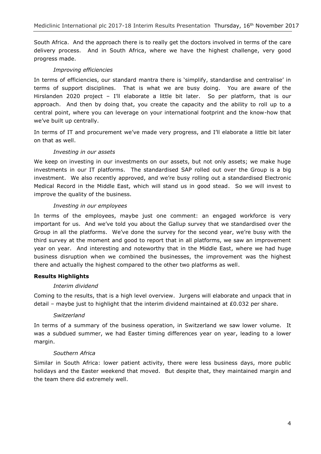South Africa. And the approach there is to really get the doctors involved in terms of the care delivery process. And in South Africa, where we have the highest challenge, very good progress made.

# *Improving efficiencies*

In terms of efficiencies, our standard mantra there is 'simplify, standardise and centralise' in terms of support disciplines. That is what we are busy doing. You are aware of the Hirslanden 2020 project - I'll elaborate a little bit later. So per platform, that is our approach. And then by doing that, you create the capacity and the ability to roll up to a central point, where you can leverage on your international footprint and the know-how that we've built up centrally.

In terms of IT and procurement we've made very progress, and I'll elaborate a little bit later on that as well.

# *Investing in our assets*

We keep on investing in our investments on our assets, but not only assets; we make huge investments in our IT platforms. The standardised SAP rolled out over the Group is a big investment. We also recently approved, and we're busy rolling out a standardised Electronic Medical Record in the Middle East, which will stand us in good stead. So we will invest to improve the quality of the business.

# *Investing in our employees*

In terms of the employees, maybe just one comment: an engaged workforce is very important for us. And we've told you about the Gallup survey that we standardised over the Group in all the platforms. We've done the survey for the second year, we're busy with the third survey at the moment and good to report that in all platforms, we saw an improvement year on year. And interesting and noteworthy that in the Middle East, where we had huge business disruption when we combined the businesses, the improvement was the highest there and actually the highest compared to the other two platforms as well.

# **Results Highlights**

# *Interim dividend*

Coming to the results, that is a high level overview. Jurgens will elaborate and unpack that in detail – maybe just to highlight that the interim dividend maintained at ₤0.032 per share.

# *Switzerland*

In terms of a summary of the business operation, in Switzerland we saw lower volume. It was a subdued summer, we had Easter timing differences year on year, leading to a lower margin.

# *Southern Africa*

Similar in South Africa: lower patient activity, there were less business days, more public holidays and the Easter weekend that moved. But despite that, they maintained margin and the team there did extremely well.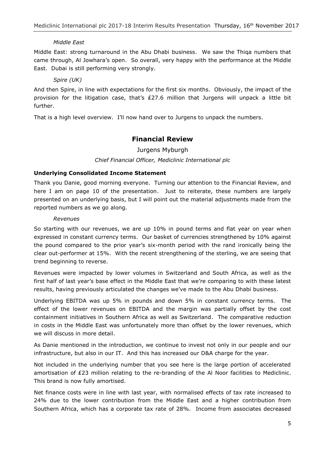# *Middle East*

Middle East: strong turnaround in the Abu Dhabi business. We saw the Thiqa numbers that came through, Al Jowhara's open. So overall, very happy with the performance at the Middle East. Dubai is still performing very strongly.

# *Spire (UK)*

And then Spire, in line with expectations for the first six months. Obviously, the impact of the provision for the litigation case, that's ₤27.6 million that Jurgens will unpack a little bit further.

That is a high level overview. I'll now hand over to Jurgens to unpack the numbers.

# **Financial Review**

Jurgens Myburgh

# *Chief Financial Officer, Mediclinic International plc*

# **Underlying Consolidated Income Statement**

Thank you Danie, good morning everyone. Turning our attention to the Financial Review, and here I am on page 10 of the presentation. Just to reiterate, these numbers are largely presented on an underlying basis, but I will point out the material adjustments made from the reported numbers as we go along.

#### *Revenues*

So starting with our revenues, we are up 10% in pound terms and flat year on year when expressed in constant currency terms. Our basket of currencies strengthened by 10% against the pound compared to the prior year's six-month period with the rand ironically being the clear out-performer at 15%. With the recent strengthening of the sterling, we are seeing that trend beginning to reverse.

Revenues were impacted by lower volumes in Switzerland and South Africa, as well as the first half of last year's base effect in the Middle East that we're comparing to with these latest results, having previously articulated the changes we've made to the Abu Dhabi business.

Underlying EBITDA was up 5% in pounds and down 5% in constant currency terms. The effect of the lower revenues on EBITDA and the margin was partially offset by the cost containment initiatives in Southern Africa as well as Switzerland. The comparative reduction in costs in the Middle East was unfortunately more than offset by the lower revenues, which we will discuss in more detail.

As Danie mentioned in the introduction, we continue to invest not only in our people and our infrastructure, but also in our IT. And this has increased our D&A charge for the year.

Not included in the underlying number that you see here is the large portion of accelerated amortisation of ₤23 million relating to the re-branding of the Al Noor facilities to Mediclinic. This brand is now fully amortised.

Net finance costs were in line with last year, with normalised effects of tax rate increased to 24% due to the lower contribution from the Middle East and a higher contribution from Southern Africa, which has a corporate tax rate of 28%. Income from associates decreased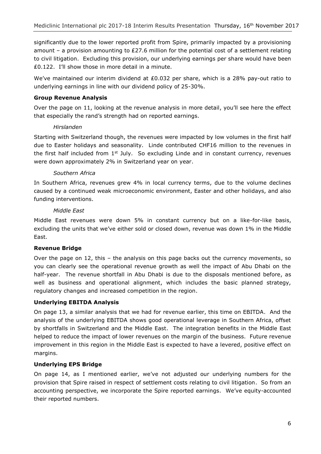significantly due to the lower reported profit from Spire, primarily impacted by a provisioning amount – a provision amounting to ₤27.6 million for the potential cost of a settlement relating to civil litigation. Excluding this provision, our underlying earnings per share would have been ₤0.122. I'll show those in more detail in a minute.

We've maintained our interim dividend at ₤0.032 per share, which is a 28% pay-out ratio to underlying earnings in line with our dividend policy of 25-30%.

# **Group Revenue Analysis**

Over the page on 11, looking at the revenue analysis in more detail, you'll see here the effect that especially the rand's strength had on reported earnings.

# *Hirslanden*

Starting with Switzerland though, the revenues were impacted by low volumes in the first half due to Easter holidays and seasonality. Linde contributed CHF16 million to the revenues in the first half included from  $1<sup>st</sup>$  July. So excluding Linde and in constant currency, revenues were down approximately 2% in Switzerland year on year.

# *Southern Africa*

In Southern Africa, revenues grew 4% in local currency terms, due to the volume declines caused by a continued weak microeconomic environment, Easter and other holidays, and also funding interventions.

# *Middle East*

Middle East revenues were down 5% in constant currency but on a like-for-like basis, excluding the units that we've either sold or closed down, revenue was down 1% in the Middle East.

# **Revenue Bridge**

Over the page on 12, this – the analysis on this page backs out the currency movements, so you can clearly see the operational revenue growth as well the impact of Abu Dhabi on the half-year. The revenue shortfall in Abu Dhabi is due to the disposals mentioned before, as well as business and operational alignment, which includes the basic planned strategy, regulatory changes and increased competition in the region.

# **Underlying EBITDA Analysis**

On page 13, a similar analysis that we had for revenue earlier, this time on EBITDA. And the analysis of the underlying EBITDA shows good operational leverage in Southern Africa, offset by shortfalls in Switzerland and the Middle East. The integration benefits in the Middle East helped to reduce the impact of lower revenues on the margin of the business. Future revenue improvement in this region in the Middle East is expected to have a levered, positive effect on margins.

# **Underlying EPS Bridge**

On page 14, as I mentioned earlier, we've not adjusted our underlying numbers for the provision that Spire raised in respect of settlement costs relating to civil litigation. So from an accounting perspective, we incorporate the Spire reported earnings. We've equity-accounted their reported numbers.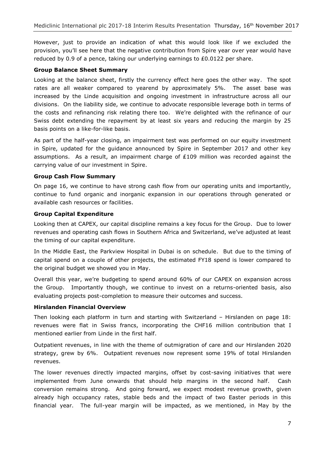However, just to provide an indication of what this would look like if we excluded the provision, you'll see here that the negative contribution from Spire year over year would have reduced by 0.9 of a pence, taking our underlying earnings to ₤0.0122 per share.

# **Group Balance Sheet Summary**

Looking at the balance sheet, firstly the currency effect here goes the other way. The spot rates are all weaker compared to yearend by approximately 5%. The asset base was increased by the Linde acquisition and ongoing investment in infrastructure across all our divisions. On the liability side, we continue to advocate responsible leverage both in terms of the costs and refinancing risk relating there too. We're delighted with the refinance of our Swiss debt extending the repayment by at least six years and reducing the margin by 25 basis points on a like-for-like basis.

As part of the half-year closing, an impairment test was performed on our equity investment in Spire, updated for the guidance announced by Spire in September 2017 and other key assumptions. As a result, an impairment charge of ₤109 million was recorded against the carrying value of our investment in Spire.

# **Group Cash Flow Summary**

On page 16, we continue to have strong cash flow from our operating units and importantly, continue to fund organic and inorganic expansion in our operations through generated or available cash resources or facilities.

# **Group Capital Expenditure**

Looking then at CAPEX, our capital discipline remains a key focus for the Group. Due to lower revenues and operating cash flows in Southern Africa and Switzerland, we've adjusted at least the timing of our capital expenditure.

In the Middle East, the Parkview Hospital in Dubai is on schedule. But due to the timing of capital spend on a couple of other projects, the estimated FY18 spend is lower compared to the original budget we showed you in May.

Overall this year, we're budgeting to spend around 60% of our CAPEX on expansion across the Group. Importantly though, we continue to invest on a returns-oriented basis, also evaluating projects post-completion to measure their outcomes and success.

# **Hirslanden Financial Overview**

Then looking each platform in turn and starting with Switzerland – Hirslanden on page 18: revenues were flat in Swiss francs, incorporating the CHF16 million contribution that I mentioned earlier from Linde in the first half.

Outpatient revenues, in line with the theme of outmigration of care and our Hirslanden 2020 strategy, grew by 6%. Outpatient revenues now represent some 19% of total Hirslanden revenues.

The lower revenues directly impacted margins, offset by cost-saving initiatives that were implemented from June onwards that should help margins in the second half. Cash conversion remains strong. And going forward, we expect modest revenue growth, given already high occupancy rates, stable beds and the impact of two Easter periods in this financial year. The full-year margin will be impacted, as we mentioned, in May by the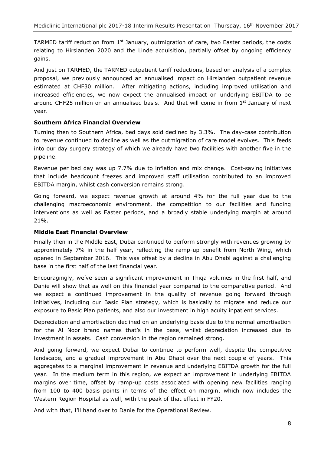TARMED tariff reduction from  $1<sup>st</sup>$  January, outmigration of care, two Easter periods, the costs relating to Hirslanden 2020 and the Linde acquisition, partially offset by ongoing efficiency gains.

And just on TARMED, the TARMED outpatient tariff reductions, based on analysis of a complex proposal, we previously announced an annualised impact on Hirslanden outpatient revenue estimated at CHF30 million. After mitigating actions, including improved utilisation and increased efficiencies, we now expect the annualised impact on underlying EBITDA to be around CHF25 million on an annualised basis. And that will come in from 1<sup>st</sup> January of next year.

# **Southern Africa Financial Overview**

Turning then to Southern Africa, bed days sold declined by 3.3%. The day-case contribution to revenue continued to decline as well as the outmigration of care model evolves. This feeds into our day surgery strategy of which we already have two facilities with another five in the pipeline.

Revenue per bed day was up 7.7% due to inflation and mix change. Cost-saving initiatives that include headcount freezes and improved staff utilisation contributed to an improved EBITDA margin, whilst cash conversion remains strong.

Going forward, we expect revenue growth at around 4% for the full year due to the challenging macroeconomic environment, the competition to our facilities and funding interventions as well as Easter periods, and a broadly stable underlying margin at around 21%.

# **Middle East Financial Overview**

Finally then in the Middle East, Dubai continued to perform strongly with revenues growing by approximately 7% in the half year, reflecting the ramp-up benefit from North Wing, which opened in September 2016. This was offset by a decline in Abu Dhabi against a challenging base in the first half of the last financial year.

Encouragingly, we've seen a significant improvement in Thiqa volumes in the first half, and Danie will show that as well on this financial year compared to the comparative period. And we expect a continued improvement in the quality of revenue going forward through initiatives, including our Basic Plan strategy, which is basically to migrate and reduce our exposure to Basic Plan patients, and also our investment in high acuity inpatient services.

Depreciation and amortisation declined on an underlying basis due to the normal amortisation for the Al Noor brand names that's in the base, whilst depreciation increased due to investment in assets. Cash conversion in the region remained strong.

And going forward, we expect Dubai to continue to perform well, despite the competitive landscape, and a gradual improvement in Abu Dhabi over the next couple of years. This aggregates to a marginal improvement in revenue and underlying EBITDA growth for the full year. In the medium term in this region, we expect an improvement in underlying EBITDA margins over time, offset by ramp-up costs associated with opening new facilities ranging from 100 to 400 basis points in terms of the effect on margin, which now includes the Western Region Hospital as well, with the peak of that effect in FY20.

And with that, I'll hand over to Danie for the Operational Review.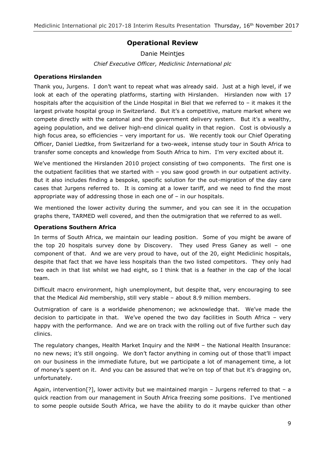# **Operational Review**

Danie Meintjes *Chief Executive Officer, Mediclinic International plc*

# **Operations Hirslanden**

Thank you, Jurgens. I don't want to repeat what was already said. Just at a high level, if we look at each of the operating platforms, starting with Hirslanden. Hirslanden now with 17 hospitals after the acquisition of the Linde Hospital in Biel that we referred to – it makes it the largest private hospital group in Switzerland. But it's a competitive, mature market where we compete directly with the cantonal and the government delivery system. But it's a wealthy, ageing population, and we deliver high-end clinical quality in that region. Cost is obviously a high focus area, so efficiencies - very important for us. We recently took our Chief Operating Officer, Daniel Liedtke, from Switzerland for a two-week, intense study tour in South Africa to transfer some concepts and knowledge from South Africa to him. I'm very excited about it.

We've mentioned the Hirslanden 2010 project consisting of two components. The first one is the outpatient facilities that we started with – you saw good growth in our outpatient activity. But it also includes finding a bespoke, specific solution for the out-migration of the day care cases that Jurgens referred to. It is coming at a lower tariff, and we need to find the most appropriate way of addressing those in each one of – in our hospitals.

We mentioned the lower activity during the summer, and you can see it in the occupation graphs there, TARMED well covered, and then the outmigration that we referred to as well.

# **Operations Southern Africa**

In terms of South Africa, we maintain our leading position. Some of you might be aware of the top 20 hospitals survey done by Discovery. They used Press Ganey as well – one component of that. And we are very proud to have, out of the 20, eight Mediclinic hospitals, despite that fact that we have less hospitals than the two listed competitors. They only had two each in that list whilst we had eight, so I think that is a feather in the cap of the local team.

Difficult macro environment, high unemployment, but despite that, very encouraging to see that the Medical Aid membership, still very stable – about 8.9 million members.

Outmigration of care is a worldwide phenomenon; we acknowledge that. We've made the decision to participate in that. We've opened the two day facilities in South Africa – very happy with the performance. And we are on track with the rolling out of five further such day clinics.

The regulatory changes, Health Market Inquiry and the NHM – the National Health Insurance: no new news; it's still ongoing. We don't factor anything in coming out of those that'll impact on our business in the immediate future, but we participate a lot of management time, a lot of money's spent on it. And you can be assured that we're on top of that but it's dragging on, unfortunately.

Again, intervention<sup>[?]</sup>, lower activity but we maintained margin – Jurgens referred to that – a quick reaction from our management in South Africa freezing some positions. I've mentioned to some people outside South Africa, we have the ability to do it maybe quicker than other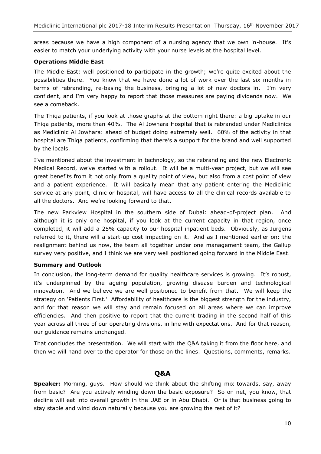areas because we have a high component of a nursing agency that we own in-house. It's easier to match your underlying activity with your nurse levels at the hospital level.

# **Operations Middle East**

The Middle East: well positioned to participate in the growth; we're quite excited about the possibilities there. You know that we have done a lot of work over the last six months in terms of rebranding, re-basing the business, bringing a lot of new doctors in. I'm very confident, and I'm very happy to report that those measures are paying dividends now. We see a comeback.

The Thiqa patients, if you look at those graphs at the bottom right there: a big uptake in our Thiqa patients, more than 40%. The Al Jowhara Hospital that is rebranded under Mediclinics as Mediclinic Al Jowhara: ahead of budget doing extremely well. 60% of the activity in that hospital are Thiqa patients, confirming that there's a support for the brand and well supported by the locals.

I've mentioned about the investment in technology, so the rebranding and the new Electronic Medical Record, we've started with a rollout. It will be a multi-year project, but we will see great benefits from it not only from a quality point of view, but also from a cost point of view and a patient experience. It will basically mean that any patient entering the Mediclinic service at any point, clinic or hospital, will have access to all the clinical records available to all the doctors. And we're looking forward to that.

The new Parkview Hospital in the southern side of Dubai: ahead-of-project plan. And although it is only one hospital, if you look at the current capacity in that region, once completed, it will add a 25% capacity to our hospital inpatient beds. Obviously, as Jurgens referred to it, there will a start-up cost impacting on it. And as I mentioned earlier on: the realignment behind us now, the team all together under one management team, the Gallup survey very positive, and I think we are very well positioned going forward in the Middle East.

# **Summary and Outlook**

In conclusion, the long-term demand for quality healthcare services is growing. It's robust, it's underpinned by the ageing population, growing disease burden and technological innovation. And we believe we are well positioned to benefit from that. We will keep the strategy on 'Patients First.' Affordability of healthcare is the biggest strength for the industry, and for that reason we will stay and remain focused on all areas where we can improve efficiencies. And then positive to report that the current trading in the second half of this year across all three of our operating divisions, in line with expectations. And for that reason, our guidance remains unchanged.

That concludes the presentation. We will start with the Q&A taking it from the floor here, and then we will hand over to the operator for those on the lines. Questions, comments, remarks.

# **Q&A**

**Speaker:** Morning, guys. How should we think about the shifting mix towards, say, away from basic? Are you actively winding down the basic exposure? So on net, you know, that decline will eat into overall growth in the UAE or in Abu Dhabi. Or is that business going to stay stable and wind down naturally because you are growing the rest of it?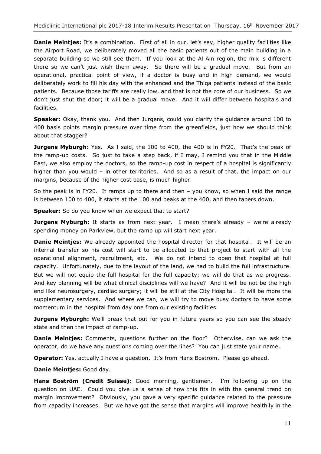**Danie Meintjes:** It's a combination. First of all in our, let's say, higher quality facilities like the Airport Road, we deliberately moved all the basic patients out of the main building in a separate building so we still see them. If you look at the Al Ain region, the mix is different there so we can't just wish them away. So there will be a gradual move. But from an operational, practical point of view, if a doctor is busy and in high demand, we would deliberately work to fill his day with the enhanced and the Thiqa patients instead of the basic patients. Because those tariffs are really low, and that is not the core of our business. So we don't just shut the door; it will be a gradual move. And it will differ between hospitals and facilities.

**Speaker:** Okay, thank you. And then Jurgens, could you clarify the guidance around 100 to 400 basis points margin pressure over time from the greenfields, just how we should think about that stagger?

**Jurgens Myburgh:** Yes. As I said, the 100 to 400, the 400 is in FY20. That's the peak of the ramp-up costs. So just to take a step back, if I may, I remind you that in the Middle East, we also employ the doctors, so the ramp-up cost in respect of a hospital is significantly higher than you would – in other territories. And so as a result of that, the impact on our margins, because of the higher cost base, is much higher.

So the peak is in FY20. It ramps up to there and then – you know, so when I said the range is between 100 to 400, it starts at the 100 and peaks at the 400, and then tapers down.

**Speaker:** So do you know when we expect that to start?

**Jurgens Myburgh:** It starts as from next year. I mean there's already – we're already spending money on Parkview, but the ramp up will start next year.

**Danie Meintjes:** We already appointed the hospital director for that hospital. It will be an internal transfer so his cost will start to be allocated to that project to start with all the operational alignment, recruitment, etc. We do not intend to open that hospital at full capacity. Unfortunately, due to the layout of the land, we had to build the full infrastructure. But we will not equip the full hospital for the full capacity; we will do that as we progress. And key planning will be what clinical disciplines will we have? And it will be not be the high end like neurosurgery, cardiac surgery; it will be still at the City Hospital. It will be more the supplementary services. And where we can, we will try to move busy doctors to have some momentum in the hospital from day one from our existing facilities.

**Jurgens Myburgh:** We'll break that out for you in future years so you can see the steady state and then the impact of ramp-up.

**Danie Meintjes:** Comments, questions further on the floor? Otherwise, can we ask the operator, do we have any questions coming over the lines? You can just state your name.

**Operator:** Yes, actually I have a question. It's from Hans Boström. Please go ahead.

**Danie Meintjes:** Good day.

**Hans Boström (Credit Suisse):** Good morning, gentlemen. I'm following up on the question on UAE. Could you give us a sense of how this fits in with the general trend on margin improvement? Obviously, you gave a very specific guidance related to the pressure from capacity increases. But we have got the sense that margins will improve healthily in the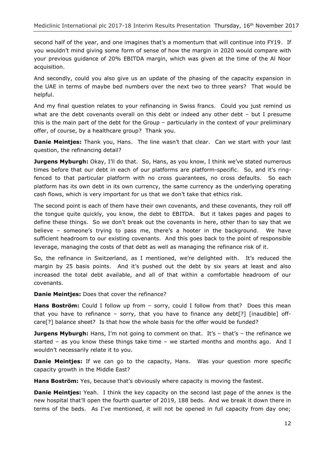second half of the year, and one imagines that's a momentum that will continue into FY19. If you wouldn't mind giving some form of sense of how the margin in 2020 would compare with your previous guidance of 20% EBITDA margin, which was given at the time of the Al Noor acquisition.

And secondly, could you also give us an update of the phasing of the capacity expansion in the UAE in terms of maybe bed numbers over the next two to three years? That would be helpful.

And my final question relates to your refinancing in Swiss francs. Could you just remind us what are the debt covenants overall on this debt or indeed any other debt - but I presume this is the main part of the debt for the Group – particularly in the context of your preliminary offer, of course, by a healthcare group? Thank you.

**Danie Meintjes:** Thank you, Hans. The line wasn't that clear. Can we start with your last question, the refinancing detail?

**Jurgens Myburgh:** Okay, I'll do that. So, Hans, as you know, I think we've stated numerous times before that our debt in each of our platforms are platform-specific. So, and it's ringfenced to that particular platform with no cross guarantees, no cross defaults. So each platform has its own debt in its own currency, the same currency as the underlying operating cash flows, which is very important for us that we don't take that ethics risk.

The second point is each of them have their own covenants, and these covenants, they roll off the tongue quite quickly, you know, the debt to EBITDA. But it takes pages and pages to define these things. So we don't break out the covenants in here, other than to say that we believe – someone's trying to pass me, there's a hooter in the background. We have sufficient headroom to our existing covenants. And this goes back to the point of responsible leverage, managing the costs of that debt as well as managing the refinance risk of it.

So, the refinance in Switzerland, as I mentioned, we're delighted with. It's reduced the margin by 25 basis points. And it's pushed out the debt by six years at least and also increased the total debt available, and all of that within a comfortable headroom of our covenants.

**Danie Meintjes:** Does that cover the refinance?

Hans Boström: Could I follow up from - sorry, could I follow from that? Does this mean that you have to refinance – sorry, that you have to finance any debt[?] [inaudible] offcare[?] balance sheet? Is that how the whole basis for the offer would be funded?

**Jurgens Myburgh:** Hans, I'm not going to comment on that. It's - that's - the refinance we started – as you know these things take time – we started months and months ago. And I wouldn't necessarily relate it to you.

**Danie Meintjes:** If we can go to the capacity, Hans. Was your question more specific capacity growth in the Middle East?

**Hans Boström:** Yes, because that's obviously where capacity is moving the fastest.

**Danie Meintjes:** Yeah. I think the key capacity on the second last page of the annex is the new hospital that'll open the fourth quarter of 2019, 188 beds. And we break it down there in terms of the beds. As I've mentioned, it will not be opened in full capacity from day one;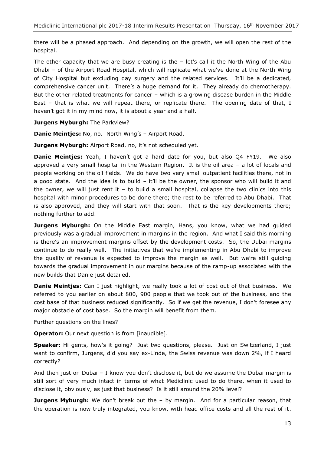there will be a phased approach. And depending on the growth, we will open the rest of the hospital.

The other capacity that we are busy creating is the  $-$  let's call it the North Wing of the Abu Dhabi – of the Airport Road Hospital, which will replicate what we've done at the North Wing of City Hospital but excluding day surgery and the related services. It'll be a dedicated, comprehensive cancer unit. There's a huge demand for it. They already do chemotherapy. But the other related treatments for cancer – which is a growing disease burden in the Middle East – that is what we will repeat there, or replicate there. The opening date of that, I haven't got it in my mind now, it is about a year and a half.

**Jurgens Myburgh:** The Parkview?

**Danie Meintjes:** No, no. North Wing's – Airport Road.

**Jurgens Myburgh:** Airport Road, no, it's not scheduled yet.

**Danie Meintjes:** Yeah, I haven't got a hard date for you, but also Q4 FY19. We also approved a very small hospital in the Western Region. It is the oil area – a lot of locals and people working on the oil fields. We do have two very small outpatient facilities there, not in a good state. And the idea is to build – it'll be the owner, the sponsor who will build it and the owner, we will just rent it  $-$  to build a small hospital, collapse the two clinics into this hospital with minor procedures to be done there; the rest to be referred to Abu Dhabi. That is also approved, and they will start with that soon. That is the key developments there; nothing further to add.

**Jurgens Myburgh:** On the Middle East margin, Hans, you know, what we had guided previously was a gradual improvement in margins in the region. And what I said this morning is there's an improvement margins offset by the development costs. So, the Dubai margins continue to do really well. The initiatives that we're implementing in Abu Dhabi to improve the quality of revenue is expected to improve the margin as well. But we're still guiding towards the gradual improvement in our margins because of the ramp-up associated with the new builds that Danie just detailed.

**Danie Meintjes:** Can I just highlight, we really took a lot of cost out of that business. We referred to you earlier on about 800, 900 people that we took out of the business, and the cost base of that business reduced significantly. So if we get the revenue, I don't foresee any major obstacle of cost base. So the margin will benefit from them.

Further questions on the lines?

**Operator:** Our next question is from [inaudible].

**Speaker:** Hi gents, how's it going? Just two questions, please. Just on Switzerland, I just want to confirm, Jurgens, did you say ex-Linde, the Swiss revenue was down 2%, if I heard correctly?

And then just on Dubai – I know you don't disclose it, but do we assume the Dubai margin is still sort of very much intact in terms of what Mediclinic used to do there, when it used to disclose it, obviously, as just that business? Is it still around the 20% level?

**Jurgens Myburgh:** We don't break out the – by margin. And for a particular reason, that the operation is now truly integrated, you know, with head office costs and all the rest of it.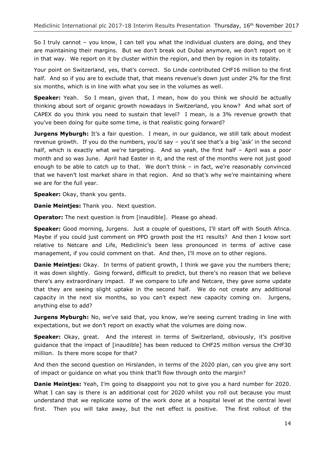So I truly cannot – you know, I can tell you what the individual clusters are doing, and they are maintaining their margins. But we don't break out Dubai anymore, we don't report on it in that way. We report on it by cluster within the region, and then by region in its totality.

Your point on Switzerland, yes, that's correct. So Linde contributed CHF16 million to the first half. And so if you are to exclude that, that means revenue's down just under 2% for the first six months, which is in line with what you see in the volumes as well.

**Speaker:** Yeah. So I mean, given that, I mean, how do you think we should be actually thinking about sort of organic growth nowadays in Switzerland, you know? And what sort of CAPEX do you think you need to sustain that level? I mean, is a 3% revenue growth that you've been doing for quite some time, is that realistic going forward?

**Jurgens Myburgh:** It's a fair question. I mean, in our quidance, we still talk about modest revenue growth. If you do the numbers, you'd say – you'd see that's a big 'ask' in the second half, which is exactly what we're targeting. And so yeah, the first half - April was a poor month and so was June. April had Easter in it, and the rest of the months were not just good enough to be able to catch up to that. We don't think – in fact, we're reasonably convinced that we haven't lost market share in that region. And so that's why we're maintaining where we are for the full year.

**Speaker:** Okay, thank you gents.

**Danie Meintjes:** Thank you. Next question.

**Operator:** The next question is from [inaudible]. Please go ahead.

**Speaker:** Good morning, Jurgens. Just a couple of questions, I'll start off with South Africa. Maybe if you could just comment on PPD growth post the H1 results? And then I know sort relative to Netcare and Life, Mediclinic's been less pronounced in terms of active case management, if you could comment on that. And then, I'll move on to other regions.

**Danie Meintjes:** Okay. In terms of patient growth, I think we gave you the numbers there; it was down slightly. Going forward, difficult to predict, but there's no reason that we believe there's any extraordinary impact. If we compare to Life and Netcare, they gave some update that they are seeing slight uptake in the second half. We do not create any additional capacity in the next six months, so you can't expect new capacity coming on. Jurgens, anything else to add?

**Jurgens Myburgh:** No, we've said that, you know, we're seeing current trading in line with expectations, but we don't report on exactly what the volumes are doing now.

**Speaker:** Okay, great. And the interest in terms of Switzerland, obviously, it's positive guidance that the impact of [inaudible] has been reduced to CHF25 million versus the CHF30 million. Is there more scope for that?

And then the second question on Hirslanden, in terms of the 2020 plan, can you give any sort of impact or guidance on what you think that'll flow through onto the margin?

**Danie Meintjes:** Yeah, I'm going to disappoint you not to give you a hard number for 2020. What I can say is there is an additional cost for 2020 whilst you roll out because you must understand that we replicate some of the work done at a hospital level at the central level first. Then you will take away, but the net effect is positive. The first rollout of the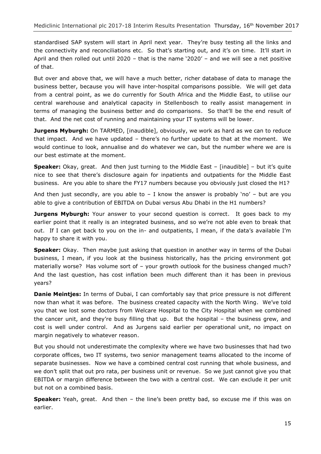standardised SAP system will start in April next year. They're busy testing all the links and the connectivity and reconciliations etc. So that's starting out, and it's on time. It'll start in April and then rolled out until 2020 – that is the name '2020' – and we will see a net positive of that.

But over and above that, we will have a much better, richer database of data to manage the business better, because you will have inter-hospital comparisons possible. We will get data from a central point, as we do currently for South Africa and the Middle East, to utilise our central warehouse and analytical capacity in Stellenbosch to really assist management in terms of managing the business better and do comparisons. So that'll be the end result of that. And the net cost of running and maintaining your IT systems will be lower.

**Jurgens Myburgh:** On TARMED, [inaudible], obviously, we work as hard as we can to reduce that impact. And we have updated – there's no further update to that at the moment. We would continue to look, annualise and do whatever we can, but the number where we are is our best estimate at the moment.

**Speaker:** Okay, great. And then just turning to the Middle East – [inaudible] – but it's quite nice to see that there's disclosure again for inpatients and outpatients for the Middle East business. Are you able to share the FY17 numbers because you obviously just closed the H1?

And then just secondly, are you able to  $-$  I know the answer is probably 'no'  $-$  but are you able to give a contribution of EBITDA on Dubai versus Abu Dhabi in the H1 numbers?

**Jurgens Myburgh:** Your answer to your second question is correct. It goes back to my earlier point that it really is an integrated business, and so we're not able even to break that out. If I can get back to you on the in- and outpatients, I mean, if the data's available I'm happy to share it with you.

**Speaker:** Okay. Then maybe just asking that question in another way in terms of the Dubai business, I mean, if you look at the business historically, has the pricing environment got materially worse? Has volume sort of – your growth outlook for the business changed much? And the last question, has cost inflation been much different than it has been in previous years?

**Danie Meintjes:** In terms of Dubai, I can comfortably say that price pressure is not different now than what it was before. The business created capacity with the North Wing. We've told you that we lost some doctors from Welcare Hospital to the City Hospital when we combined the cancer unit, and they're busy filling that up. But the hospital – the business grew, and cost is well under control. And as Jurgens said earlier per operational unit, no impact on margin negatively to whatever reason.

But you should not underestimate the complexity where we have two businesses that had two corporate offices, two IT systems, two senior management teams allocated to the income of separate businesses. Now we have a combined central cost running that whole business, and we don't split that out pro rata, per business unit or revenue. So we just cannot give you that EBITDA or margin difference between the two with a central cost. We can exclude it per unit but not on a combined basis.

**Speaker:** Yeah, great. And then – the line's been pretty bad, so excuse me if this was on earlier.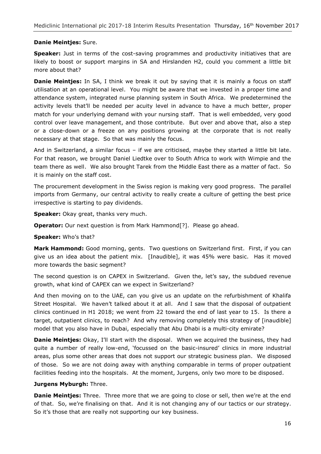# **Danie Meintjes:** Sure.

**Speaker:** Just in terms of the cost-saving programmes and productivity initiatives that are likely to boost or support margins in SA and Hirslanden H2, could you comment a little bit more about that?

**Danie Meintjes:** In SA, I think we break it out by saying that it is mainly a focus on staff utilisation at an operational level. You might be aware that we invested in a proper time and attendance system, integrated nurse planning system in South Africa. We predetermined the activity levels that'll be needed per acuity level in advance to have a much better, proper match for your underlying demand with your nursing staff. That is well embedded, very good control over leave management, and those contribute. But over and above that, also a step or a close-down or a freeze on any positions growing at the corporate that is not really necessary at that stage. So that was mainly the focus.

And in Switzerland, a similar focus – if we are criticised, maybe they started a little bit late. For that reason, we brought Daniel Liedtke over to South Africa to work with Wimpie and the team there as well. We also brought Tarek from the Middle East there as a matter of fact. So it is mainly on the staff cost.

The procurement development in the Swiss region is making very good progress. The parallel imports from Germany, our central activity to really create a culture of getting the best price irrespective is starting to pay dividends.

**Speaker:** Okay great, thanks very much.

**Operator:** Our next question is from Mark Hammond<sup>[2]</sup>. Please go ahead.

#### **Speaker:** Who's that?

**Mark Hammond:** Good morning, gents. Two questions on Switzerland first. First, if you can give us an idea about the patient mix. [Inaudible], it was 45% were basic. Has it moved more towards the basic segment?

The second question is on CAPEX in Switzerland. Given the, let's say, the subdued revenue growth, what kind of CAPEX can we expect in Switzerland?

And then moving on to the UAE, can you give us an update on the refurbishment of Khalifa Street Hospital. We haven't talked about it at all. And I saw that the disposal of outpatient clinics continued in H1 2018; we went from 22 toward the end of last year to 15. Is there a target, outpatient clinics, to reach? And why removing completely this strategy of [inaudible] model that you also have in Dubai, especially that Abu Dhabi is a multi-city emirate?

**Danie Meintjes:** Okay, I'll start with the disposal. When we acquired the business, they had quite a number of really low-end, 'focussed on the basic-insured' clinics in more industrial areas, plus some other areas that does not support our strategic business plan. We disposed of those. So we are not doing away with anything comparable in terms of proper outpatient facilities feeding into the hospitals. At the moment, Jurgens, only two more to be disposed.

# **Jurgens Myburgh:** Three.

**Danie Meintjes:** Three. Three more that we are going to close or sell, then we're at the end of that. So, we're finalising on that. And it is not changing any of our tactics or our strategy. So it's those that are really not supporting our key business.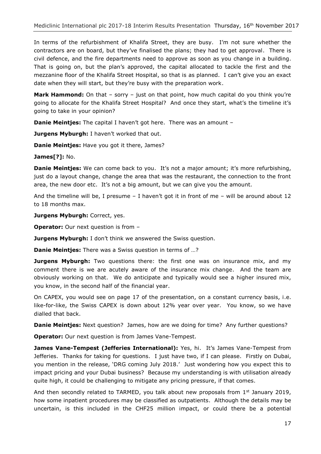In terms of the refurbishment of Khalifa Street, they are busy. I'm not sure whether the contractors are on board, but they've finalised the plans; they had to get approval. There is civil defence, and the fire departments need to approve as soon as you change in a building. That is going on, but the plan's approved, the capital allocated to tackle the first and the mezzanine floor of the Khalifa Street Hospital, so that is as planned. I can't give you an exact date when they will start, but they're busy with the preparation work.

**Mark Hammond:** On that – sorry – just on that point, how much capital do you think you're going to allocate for the Khalifa Street Hospital? And once they start, what's the timeline it's going to take in your opinion?

**Danie Meintjes:** The capital I haven't got here. There was an amount –

**Jurgens Myburgh:** I haven't worked that out.

**Danie Meintjes:** Have you got it there, James?

**James[?]:** No.

**Danie Meintjes:** We can come back to you. It's not a major amount; it's more refurbishing, just do a layout change, change the area that was the restaurant, the connection to the front area, the new door etc. It's not a big amount, but we can give you the amount.

And the timeline will be, I presume  $-1$  haven't got it in front of me  $-$  will be around about 12 to 18 months max.

**Jurgens Myburgh:** Correct, yes.

**Operator:** Our next question is from –

**Jurgens Myburgh:** I don't think we answered the Swiss question.

**Danie Meintjes:** There was a Swiss question in terms of …?

**Jurgens Myburgh:** Two questions there: the first one was on insurance mix, and my comment there is we are acutely aware of the insurance mix change. And the team are obviously working on that. We do anticipate and typically would see a higher insured mix, you know, in the second half of the financial year.

On CAPEX, you would see on page 17 of the presentation, on a constant currency basis, i.e. like-for-like, the Swiss CAPEX is down about 12% year over year. You know, so we have dialled that back.

**Danie Meintjes:** Next question? James, how are we doing for time? Any further questions?

**Operator:** Our next question is from James Vane-Tempest.

**James Vane-Tempest (Jefferies International):** Yes, hi. It's James Vane-Tempest from Jefferies. Thanks for taking for questions. I just have two, if I can please. Firstly on Dubai, you mention in the release, 'DRG coming July 2018.' Just wondering how you expect this to impact pricing and your Dubai business? Because my understanding is with utilisation already quite high, it could be challenging to mitigate any pricing pressure, if that comes.

And then secondly related to TARMED, you talk about new proposals from  $1<sup>st</sup>$  January 2019, how some inpatient procedures may be classified as outpatients. Although the details may be uncertain, is this included in the CHF25 million impact, or could there be a potential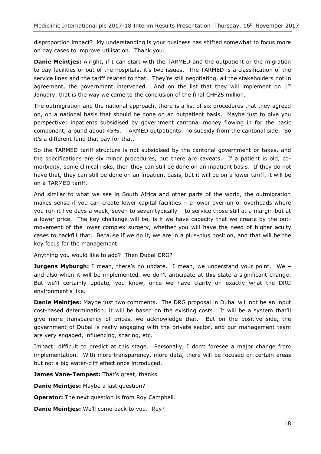disproportion impact? My understanding is your business has shifted somewhat to focus more on day cases to improve utilisation. Thank you.

**Danie Meintjes:** Alright, if I can start with the TARMED and the outpatient or the migration to day facilities or out of the hospitals, it's two issues. The TARMED is a classification of the service lines and the tariff related to that. They're still negotiating, all the stakeholders not in agreement, the government intervened. And on the list that they will implement on  $1<sup>st</sup>$ January, that is the way we came to the conclusion of the final CHF25 million.

The outmigration and the national approach, there is a list of six procedures that they agreed on, on a national basis that should be done on an outpatient basis. Maybe just to give you perspective: inpatients subsidised by government cantonal money flowing in for the basic component, around about 45%. TARMED outpatients: no subsidy from the cantonal side. So it's a different fund that pay for that.

So the TARMED tariff structure is not subsidised by the cantonal government or taxes, and the specifications are six minor procedures, but there are caveats. If a patient is old, comorbidity, some clinical risks, then they can still be done on an inpatient basis. If they do not have that, they can still be done on an inpatient basis, but it will be on a lower tariff, it will be on a TARMED tariff.

And similar to what we see in South Africa and other parts of the world, the outmigration makes sense if you can create lower capital facilities – a lower overrun or overheads where you run it five days a week, seven to seven typically – to service those still at a margin but at a lower price. The key challenge will be, is if we have capacity that we create by the outmovement of the lower complex surgery, whether you will have the need of higher acuity cases to backfill that. Because if we do it, we are in a plus-plus position, and that will be the key focus for the management.

Anything you would like to add? Then Dubai DRG?

**Jurgens Myburgh:** I mean, there's no update. I mean, we understand your point. We and also when it will be implemented, we don't anticipate at this state a significant change. But we'll certainly update, you know, once we have clarity on exactly what the DRG environment's like.

**Danie Meintjes:** Maybe just two comments. The DRG proposal in Dubai will not be an input cost-based determination; it will be based on the existing costs. It will be a system that'll give more transparency of prices, we acknowledge that. But on the positive side, the government of Dubai is really engaging with the private sector, and our management team are very engaged, influencing, sharing, etc.

Impact: difficult to predict at this stage. Personally, I don't foresee a major change from implementation. With more transparency, more data, there will be focused on certain areas but not a big water-cliff effect once introduced.

James Vane-Tempest: That's great, thanks.

**Danie Meintjes:** Maybe a last question?

**Operator:** The next question is from Roy Campbell.

**Danie Meintjes:** We'll come back to you. Roy?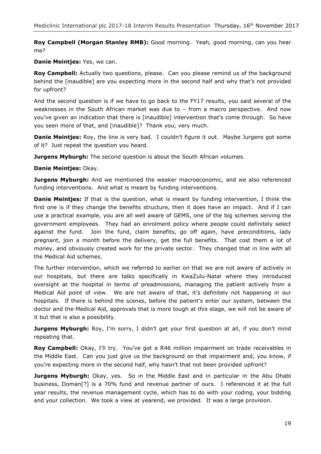**Roy Campbell (Morgan Stanley RMB):** Good morning. Yeah, good morning, can you hear me?

# **Danie Meintjes:** Yes, we can.

**Roy Campbell:** Actually two questions, please. Can you please remind us of the background behind the [inaudible] are you expecting more in the second half and why that's not provided for upfront?

And the second question is if we have to go back to the FY17 results, you said several of the weaknesses in the South African market was due to – from a macro perspective. And now you've given an indication that there is [inaudible] intervention that's come through. So have you seen more of that, and [inaudible]? Thank you, very much.

**Danie Meintjes:** Roy, the line is very bad. I couldn't figure it out. Maybe Jurgens got some of it? Just repeat the question you heard.

**Jurgens Myburgh:** The second question is about the South African volumes.

**Danie Meintjes:** Okay.

**Jurgens Myburgh:** And we mentioned the weaker macroeconomic, and we also referenced funding interventions. And what is meant by funding interventions.

**Danie Meintjes:** If that is the question, what is meant by funding intervention, I think the first one is if they change the benefits structure, then it does have an impact. And if I can use a practical example, you are all well aware of GEMS, one of the big schemes serving the government employees. They had an enrolment policy where people could definitely select against the fund. Join the fund, claim benefits, go off again, have preconditions, lady pregnant, join a month before the delivery, get the full benefits. That cost them a lot of money, and obviously created work for the private sector. They changed that in line with all the Medical Aid schemes.

The further intervention, which we referred to earlier on that we are not aware of actively in our hospitals, but there are talks specifically in KwaZulu-Natal where they introduced oversight at the hospital in terms of preadmissions, managing the patient actively from a Medical Aid point of view. We are not aware of that, it's definitely not happening in our hospitals. If there is behind the scenes, before the patient's enter our system, between the doctor and the Medical Aid, approvals that is more tough at this stage, we will not be aware of it but that is also a possibility.

**Jurgens Myburgh:** Roy, I'm sorry, I didn't get your first question at all, if you don't mind repeating that.

**Roy Campbell:** Okay, I'll try. You've got a R46 million impairment on trade receivables in the Middle East. Can you just give us the background on that impairment and, you know, if you're expecting more in the second half, why hasn't that not been provided upfront?

**Jurgens Myburgh:** Okay, yes. So in the Middle East and in particular in the Abu Dhabi business, Doman[?] is a 70% fund and revenue partner of ours. I referenced it at the full year results, the revenue management cycle, which has to do with your coding, your bidding and your collection. We took a view at yearend, we provided. It was a large provision.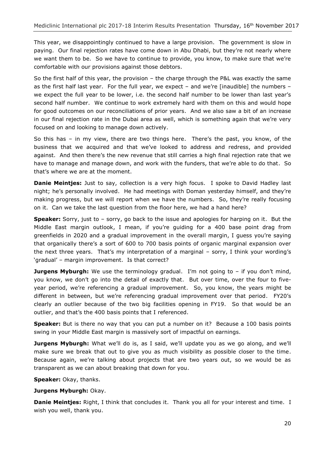This year, we disappointingly continued to have a large provision. The government is slow in paying. Our final rejection rates have come down in Abu Dhabi, but they're not nearly where we want them to be. So we have to continue to provide, you know, to make sure that we're comfortable with our provisions against those debtors.

So the first half of this year, the provision – the charge through the P&L was exactly the same as the first half last year. For the full year, we expect – and we're [inaudible] the numbers – we expect the full year to be lower, i.e. the second half number to be lower than last year's second half number. We continue to work extremely hard with them on this and would hope for good outcomes on our reconciliations of prior years. And we also saw a bit of an increase in our final rejection rate in the Dubai area as well, which is something again that we're very focused on and looking to manage down actively.

So this has – in my view, there are two things here. There's the past, you know, of the business that we acquired and that we've looked to address and redress, and provided against. And then there's the new revenue that still carries a high final rejection rate that we have to manage and manage down, and work with the funders, that we're able to do that. So that's where we are at the moment.

**Danie Meintjes:** Just to say, collection is a very high focus. I spoke to David Hadley last night; he's personally involved. He had meetings with Doman yesterday himself, and they're making progress, but we will report when we have the numbers. So, they're really focusing on it. Can we take the last question from the floor here, we had a hand here?

**Speaker:** Sorry, just to – sorry, go back to the issue and apologies for harping on it. But the Middle East margin outlook, I mean, if you're guiding for a 400 base point drag from greenfields in 2020 and a gradual improvement in the overall margin, I guess you're saying that organically there's a sort of 600 to 700 basis points of organic marginal expansion over the next three years. That's my interpretation of a marginal – sorry, I think your wording's 'gradual' – margin improvement. Is that correct?

**Jurgens Myburgh:** We use the terminology gradual. I'm not going to – if you don't mind, you know, we don't go into the detail of exactly that. But over time, over the four to fiveyear period, we're referencing a gradual improvement. So, you know, the years might be different in between, but we're referencing gradual improvement over that period. FY20's clearly an outlier because of the two big facilities opening in FY19. So that would be an outlier, and that's the 400 basis points that I referenced.

**Speaker:** But is there no way that you can put a number on it? Because a 100 basis points swing in your Middle East margin is massively sort of impactful on earnings.

**Jurgens Myburgh:** What we'll do is, as I said, we'll update you as we go along, and we'll make sure we break that out to give you as much visibility as possible closer to the time. Because again, we're talking about projects that are two years out, so we would be as transparent as we can about breaking that down for you.

**Speaker:** Okay, thanks.

**Jurgens Myburgh:** Okay.

**Danie Meintjes:** Right, I think that concludes it. Thank you all for your interest and time. I wish you well, thank you.